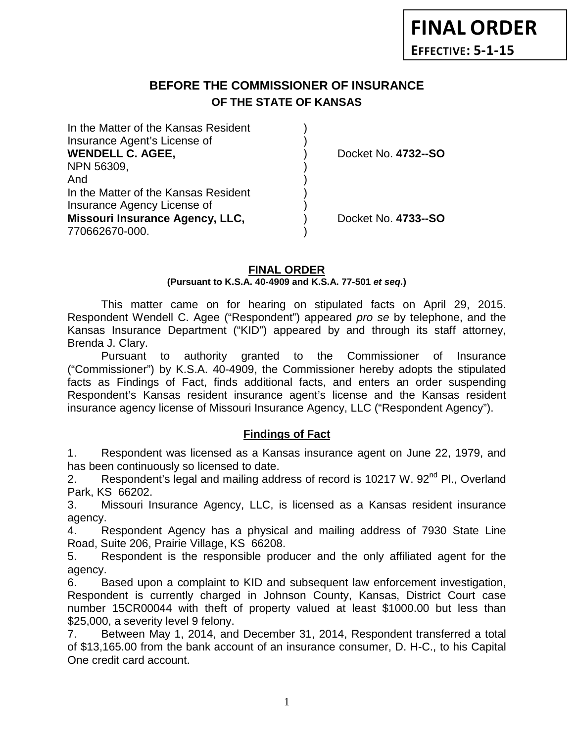# **BEFORE THE COMMISSIONER OF INSURANCE OF THE STATE OF KANSAS**

| In the Matter of the Kansas Resident<br>Insurance Agent's License of<br><b>WENDELL C. AGEE,</b> | Docket No. 4732--SO |
|-------------------------------------------------------------------------------------------------|---------------------|
| NPN 56309,                                                                                      |                     |
| And                                                                                             |                     |
| In the Matter of the Kansas Resident                                                            |                     |
| Insurance Agency License of                                                                     |                     |
| Missouri Insurance Agency, LLC,                                                                 | Docket No. 4733--SO |
| 770662670-000.                                                                                  |                     |
|                                                                                                 |                     |

#### **FINAL ORDER (Pursuant to K.S.A. 40-4909 and K.S.A. 77-501** *et seq.***)**

This matter came on for hearing on stipulated facts on April 29, 2015. Respondent Wendell C. Agee ("Respondent") appeared *pro se* by telephone, and the Kansas Insurance Department ("KID") appeared by and through its staff attorney, Brenda J. Clary.

Pursuant to authority granted to the Commissioner of Insurance ("Commissioner") by K.S.A. 40-4909, the Commissioner hereby adopts the stipulated facts as Findings of Fact, finds additional facts, and enters an order suspending Respondent's Kansas resident insurance agent's license and the Kansas resident insurance agency license of Missouri Insurance Agency, LLC ("Respondent Agency").

### **Findings of Fact**

1. Respondent was licensed as a Kansas insurance agent on June 22, 1979, and has been continuously so licensed to date.

2. Respondent's legal and mailing address of record is 10217 W. 92<sup>nd</sup> Pl., Overland Park, KS 66202.

3. Missouri Insurance Agency, LLC, is licensed as a Kansas resident insurance agency.

4. Respondent Agency has a physical and mailing address of 7930 State Line Road, Suite 206, Prairie Village, KS 66208.

5. Respondent is the responsible producer and the only affiliated agent for the agency.

6. Based upon a complaint to KID and subsequent law enforcement investigation, Respondent is currently charged in Johnson County, Kansas, District Court case number 15CR00044 with theft of property valued at least \$1000.00 but less than \$25,000, a severity level 9 felony.

7. Between May 1, 2014, and December 31, 2014, Respondent transferred a total of \$13,165.00 from the bank account of an insurance consumer, D. H-C., to his Capital One credit card account.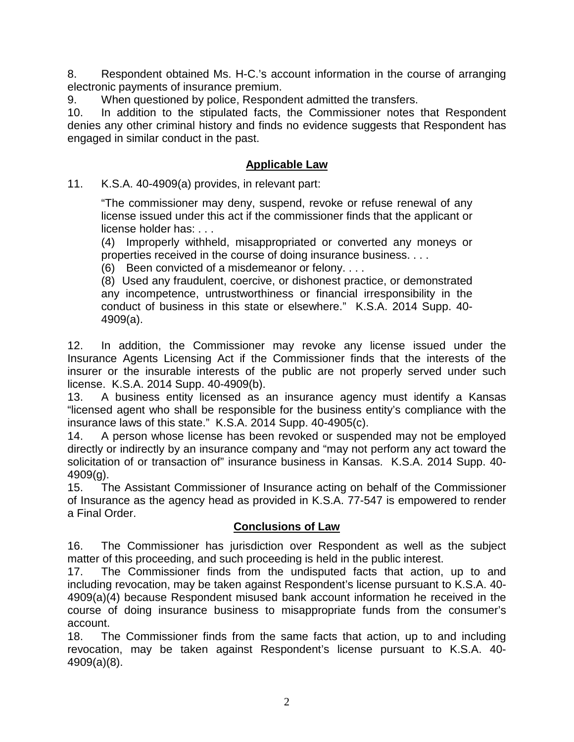8. Respondent obtained Ms. H-C.'s account information in the course of arranging electronic payments of insurance premium.

9. When questioned by police, Respondent admitted the transfers.

10. In addition to the stipulated facts, the Commissioner notes that Respondent denies any other criminal history and finds no evidence suggests that Respondent has engaged in similar conduct in the past.

# **Applicable Law**

11. K.S.A. 40-4909(a) provides, in relevant part:

"The commissioner may deny, suspend, revoke or refuse renewal of any license issued under this act if the commissioner finds that the applicant or license holder has: . . .

(4) Improperly withheld, misappropriated or converted any moneys or properties received in the course of doing insurance business. . . .

(6) Been convicted of a misdemeanor or felony. . . .

(8) Used any fraudulent, coercive, or dishonest practice, or demonstrated any incompetence, untrustworthiness or financial irresponsibility in the conduct of business in this state or elsewhere." K.S.A. 2014 Supp. 40- 4909(a).

12. In addition, the Commissioner may revoke any license issued under the Insurance Agents Licensing Act if the Commissioner finds that the interests of the insurer or the insurable interests of the public are not properly served under such license. K.S.A. 2014 Supp. 40-4909(b).

13. A business entity licensed as an insurance agency must identify a Kansas "licensed agent who shall be responsible for the business entity's compliance with the insurance laws of this state." K.S.A. 2014 Supp. 40-4905(c).

14. A person whose license has been revoked or suspended may not be employed directly or indirectly by an insurance company and "may not perform any act toward the solicitation of or transaction of" insurance business in Kansas. K.S.A. 2014 Supp. 40- 4909(g).

15. The Assistant Commissioner of Insurance acting on behalf of the Commissioner of Insurance as the agency head as provided in K.S.A. 77-547 is empowered to render a Final Order.

### **Conclusions of Law**

16. The Commissioner has jurisdiction over Respondent as well as the subject matter of this proceeding, and such proceeding is held in the public interest.

17. The Commissioner finds from the undisputed facts that action, up to and including revocation, may be taken against Respondent's license pursuant to K.S.A. 40- 4909(a)(4) because Respondent misused bank account information he received in the course of doing insurance business to misappropriate funds from the consumer's account.

18. The Commissioner finds from the same facts that action, up to and including revocation, may be taken against Respondent's license pursuant to K.S.A. 40- 4909(a)(8).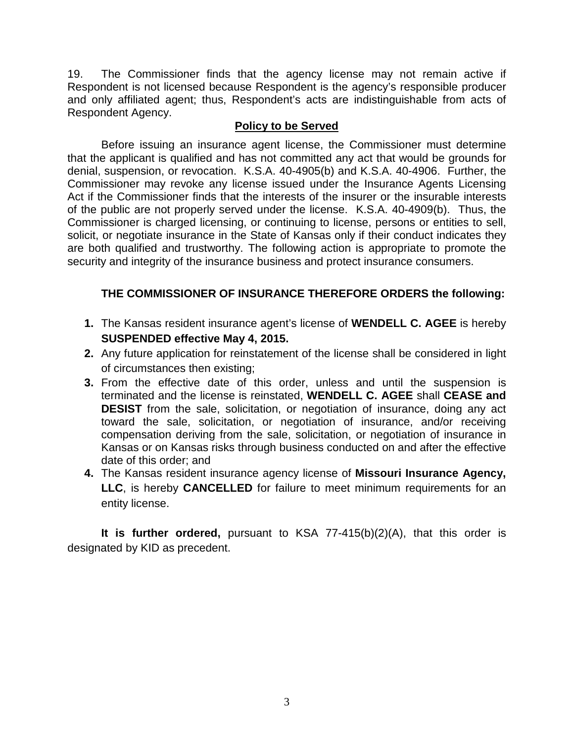19. The Commissioner finds that the agency license may not remain active if Respondent is not licensed because Respondent is the agency's responsible producer and only affiliated agent; thus, Respondent's acts are indistinguishable from acts of Respondent Agency.

#### **Policy to be Served**

Before issuing an insurance agent license, the Commissioner must determine that the applicant is qualified and has not committed any act that would be grounds for denial, suspension, or revocation. K.S.A. 40-4905(b) and K.S.A. 40-4906. Further, the Commissioner may revoke any license issued under the Insurance Agents Licensing Act if the Commissioner finds that the interests of the insurer or the insurable interests of the public are not properly served under the license. K.S.A. 40-4909(b). Thus, the Commissioner is charged licensing, or continuing to license, persons or entities to sell, solicit, or negotiate insurance in the State of Kansas only if their conduct indicates they are both qualified and trustworthy. The following action is appropriate to promote the security and integrity of the insurance business and protect insurance consumers.

## **THE COMMISSIONER OF INSURANCE THEREFORE ORDERS the following:**

- **1.** The Kansas resident insurance agent's license of **WENDELL C. AGEE** is hereby **SUSPENDED effective May 4, 2015.**
- **2.** Any future application for reinstatement of the license shall be considered in light of circumstances then existing;
- **3.** From the effective date of this order, unless and until the suspension is terminated and the license is reinstated, **WENDELL C. AGEE** shall **CEASE and DESIST** from the sale, solicitation, or negotiation of insurance, doing any act toward the sale, solicitation, or negotiation of insurance, and/or receiving compensation deriving from the sale, solicitation, or negotiation of insurance in Kansas or on Kansas risks through business conducted on and after the effective date of this order; and
- **4.** The Kansas resident insurance agency license of **Missouri Insurance Agency, LLC**, is hereby **CANCELLED** for failure to meet minimum requirements for an entity license.

**It is further ordered,** pursuant to KSA 77-415(b)(2)(A), that this order is designated by KID as precedent.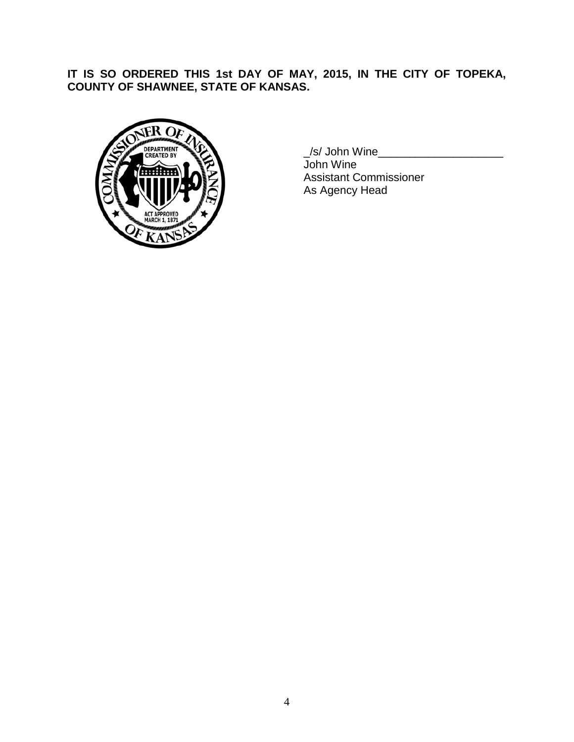**IT IS SO ORDERED THIS 1st DAY OF MAY, 2015, IN THE CITY OF TOPEKA, COUNTY OF SHAWNEE, STATE OF KANSAS.**



\_/s/ John Wine\_\_\_\_\_\_\_\_\_\_\_\_\_\_\_\_\_\_\_\_

John Wine Assistant Commissioner As Agency Head